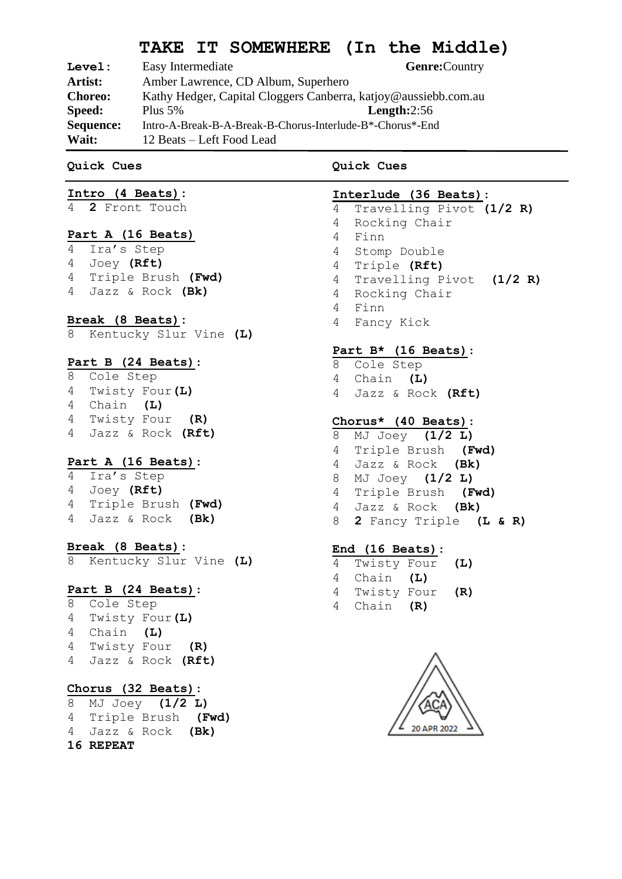# **TAKE IT SOMEWHERE (In the Middle)**

| Level:         | Easy Intermediate                                               | Genre: Country |  |
|----------------|-----------------------------------------------------------------|----------------|--|
| Artist:        | Amber Lawrence, CD Album, Superhero                             |                |  |
| <b>Choreo:</b> | Kathy Hedger, Capital Cloggers Canberra, katjoy@aussiebb.com.au |                |  |
| <b>Speed:</b>  | Plus $5%$                                                       | Length: $2:56$ |  |
| Sequence:      | Intro-A-Break-B-A-Break-B-Chorus-Interlude-B*-Chorus*-End       |                |  |
| Wait:          | 12 Beats – Left Food Lead                                       |                |  |

#### **Quick Cues**

## **Intro (4 Beats):**

**2** Front Touch

#### **Part A (16 Beats)**

 Ira's Step Joey **(Rft)** Triple Brush **(Fwd)** Jazz & Rock **(Bk)**

#### **Break (8 Beats):**

Kentucky Slur Vine **(L)**

### **Part B (24 Beats)**:

 Cole Step Twisty Four**(L)** Chain **(L)** Twisty Four **(R)** Jazz & Rock **(Rft)**

#### **Part A (16 Beats)**:

 Ira's Step Joey **(Rft)** Triple Brush **(Fwd)** Jazz & Rock **(Bk)**

#### **Break (8 Beats):**

Kentucky Slur Vine **(L)**

## **Part B (24 Beats)**:

 Cole Step Twisty Four**(L)** Chain **(L)** Twisty Four **(R)** Jazz & Rock **(Rft)**

## **Chorus (32 Beats)**:

 MJ Joey **(1/2 L)** Triple Brush **(Fwd)** Jazz & Rock **(Bk) REPEAT**

## **Quick Cues**

## **Interlude (36 Beats)**:

 Travelling Pivot **(1/2 R)** Rocking Chair Finn Stomp Double Triple **(Rft)** Travelling Pivot **(1/2 R)** Rocking Chair Finn Fancy Kick

## **Part B\* (16 Beats)**:

- Cole Step
- Chain **(L)**
- Jazz & Rock **(Rft)**

## **Chorus\* (40 Beats)**:

- MJ Joey **(1/2 L)**
- Triple Brush **(Fwd)** Jazz & Rock **(Bk)**
	-
- MJ Joey **(1/2 L)** Triple Brush **(Fwd)**
- Jazz & Rock **(Bk)**
- **2** Fancy Triple **(L & R)**

## **End (16 Beats)**:

- Twisty Four **(L)** Chain **(L)** Twisty Four **(R)**
- Chain **(R)**